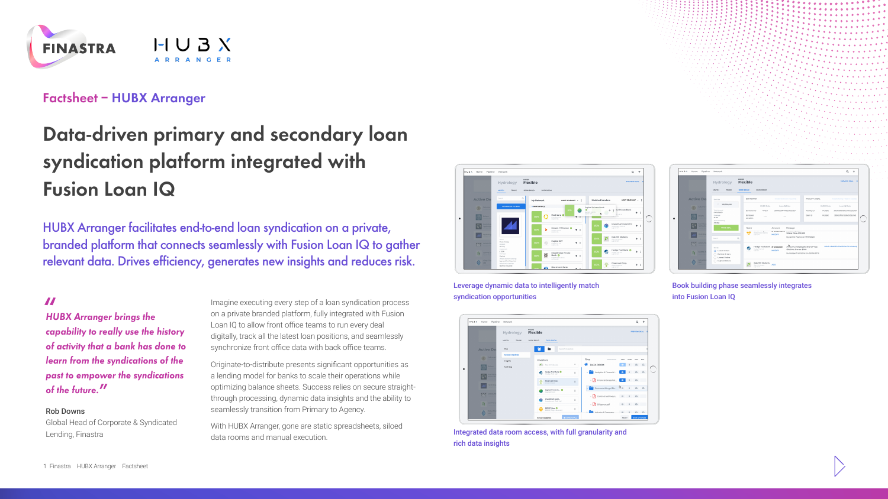

# **Factsheet – HUBX Arranger**

# **Data-driven primary and secondary loan syndication platform integrated with Fusion Loan IQ**

HUBX Arranger facilitates end-to-end loan syndication on a private, branded platform that connects seamlessly with Fusion Loan IQ to gather relevant data. Drives efficiency, generates new insights and reduces risk.

**"** *HUBX Arranger brings the capability to really use the history of activity that a bank has done to learn from the syndications of the past to empower the syndications of the future.***"**

#### Rob Downs

Global Head of Corporate & Syndicated Lending, Finastra

Imagine executing every step of a loan syndication process on a private branded platform, fully integrated with Fusion Loan IQ to allow front office teams to run every deal digitally, track all the latest loan positions, and seamlessly synchronize front office data with back office teams.

Originate-to-distribute presents significant opportunities as a lending model for banks to scale their operations while optimizing balance sheets. Success relies on secure straightthrough processing, dynamic data insights and the ability to seamlessly transition from Primary to Agency.

With HUBX Arranger, gone are static spreadsheets, siloed data rooms and manual execution.



Leverage dynamic data to intelligently match syndication opportunities



Integrated data room access, with full granularity and rich data insights



Book building phase seamlessly integrates into Fusion Loan IQ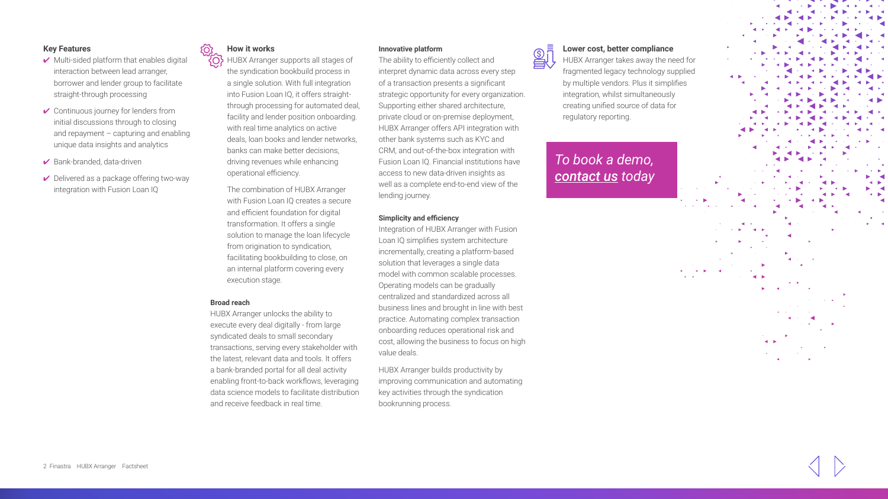## **Key Features**

- $\vee$  Multi-sided platform that enables digital interaction between lead arranger, borrower and lender group to facilitate straight-through processing
- $\checkmark$  Continuous journey for lenders from initial discussions through to closing and repayment – capturing and enabling unique data insights and analytics
- Bank-branded, data-driven
- $\vee$  Delivered as a package offering two-way integration with Fusion Loan IQ

## **How it works**

**<sup><sup>1</sup>O**</sub> HUBX Arranger supports all stages of</sup> the syndication bookbuild process in a single solution. With full integration into Fusion Loan IQ, it offers straightthrough processing for automated deal, facility and lender position onboarding. with real time analytics on active deals, loan books and lender networks, banks can make better decisions, driving revenues while enhancing operational efficiency.

The combination of HUBX Arranger with Fusion Loan IQ creates a secure and efficient foundation for digital transformation. It offers a single solution to manage the loan lifecycle from origination to syndication, facilitating bookbuilding to close, on an internal platform covering every execution stage.

#### **Broad reach**

HUBX Arranger unlocks the ability to execute every deal digitally - from large syndicated deals to small secondary transactions, serving every stakeholder with the latest, relevant data and tools. It offers a bank-branded portal for all deal activity enabling front-to-back workflows, leveraging data science models to facilitate distribution and receive feedback in real time.

### **Innovative platform**

The ability to efficiently collect and interpret dynamic data across every step of a transaction presents a significant strategic opportunity for every organization. Supporting either shared architecture, private cloud or on-premise deployment, HUBX Arranger offers API integration with other bank systems such as KYC and CRM, and out-of-the-box integration with Fusion Loan IQ. Financial institutions have access to new data-driven insights as well as a complete end-to-end view of the lending journey.

#### **Simplicity and efficiency**

Integration of HUBX Arranger with Fusion Loan IQ simplifies system architecture incrementally, creating a platform-based solution that leverages a single data model with common scalable processes. Operating models can be gradually centralized and standardized across all business lines and brought in line with best practice. Automating complex transaction onboarding reduces operational risk and cost, allowing the business to focus on high value deals.

HUBX Arranger builds productivity by improving communication and automating key activities through the syndication bookrunning process.



**BUDENT Lower cost, better compliance**<br>HUBX Arranger takes away the ne **HUBX Arranger takes away the need for** fragmented legacy technology supplied by multiple vendors. Plus it simplifies integration, whilst simultaneously creating unified source of data for regulatory reporting.

> *To book a demo, [contact us](https://www.finastra.com/contact/sales) today*